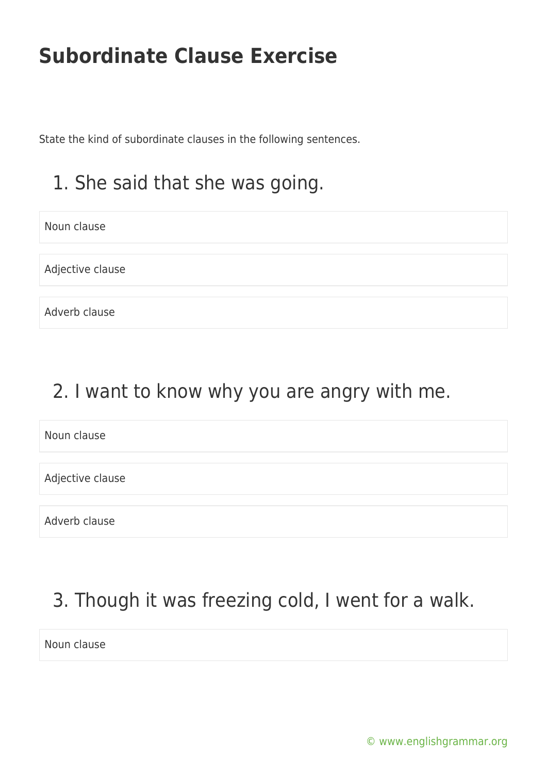State the kind of subordinate clauses in the following sentences.

## 1. She said that she was going.

Noun clause

Adjective clause

Adverb clause

#### 2. I want to know why you are angry with me.

Noun clause

Adjective clause

Adverb clause

# 3. Though it was freezing cold, I went for a walk.

Noun clause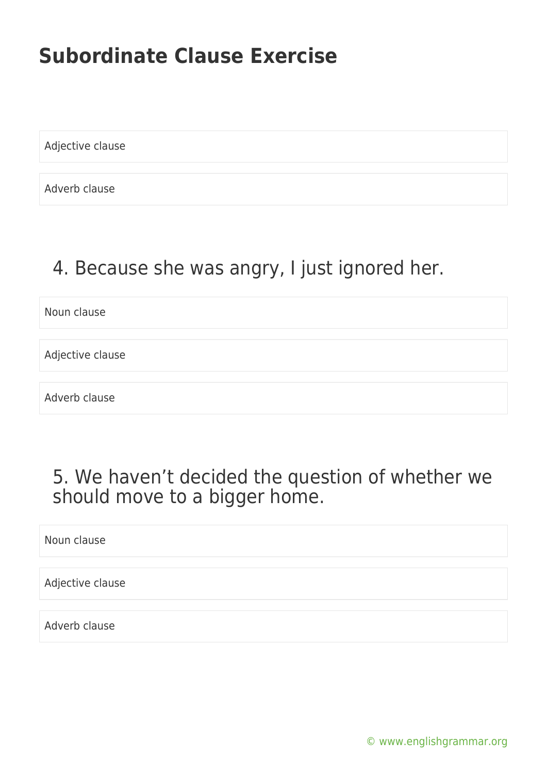Adjective clause

Adverb clause

#### 4. Because she was angry, I just ignored her.

Noun clause

Adjective clause

Adverb clause

#### 5. We haven't decided the question of whether we should move to a bigger home.

Noun clause

Adjective clause

Adverb clause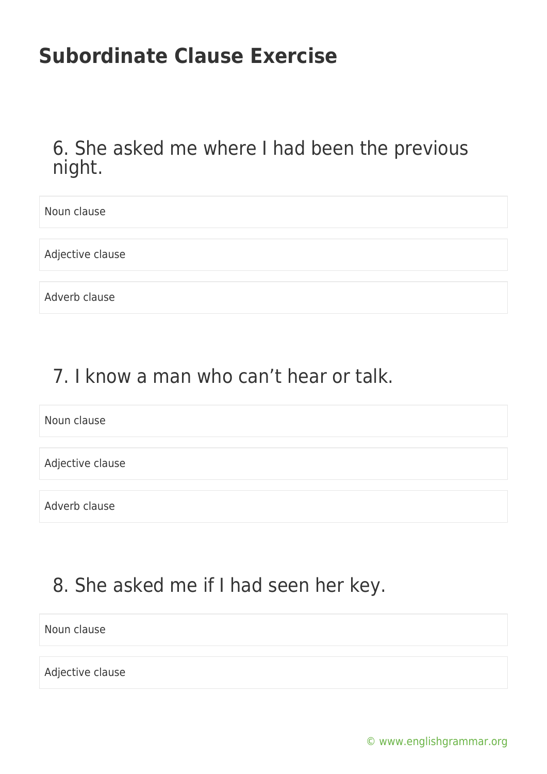6. She asked me where I had been the previous night.

Noun clause Adjective clause Adverb clause

## 7. I know a man who can't hear or talk.

Noun clause

Adjective clause

Adverb clause

# 8. She asked me if I had seen her key.

Noun clause

Adjective clause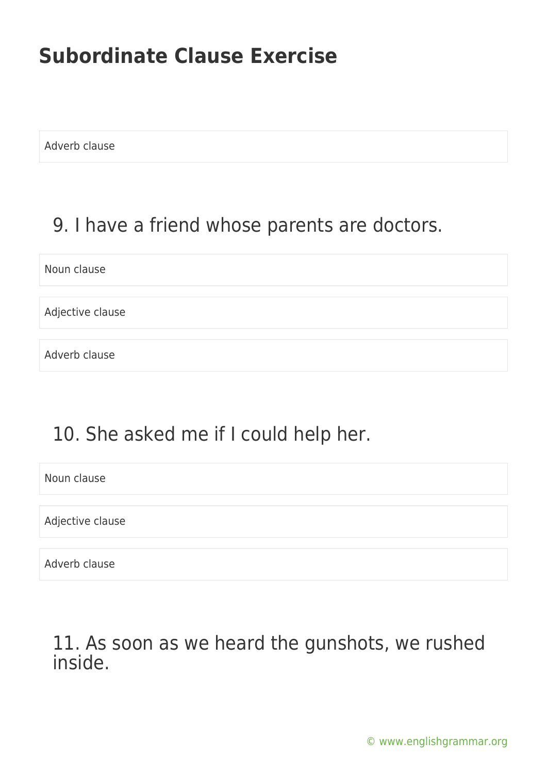Adverb clause

#### 9. I have a friend whose parents are doctors.

Noun clause

Adjective clause

Adverb clause

## 10. She asked me if I could help her.

Noun clause

Adjective clause

Adverb clause

#### 11. As soon as we heard the gunshots, we rushed inside.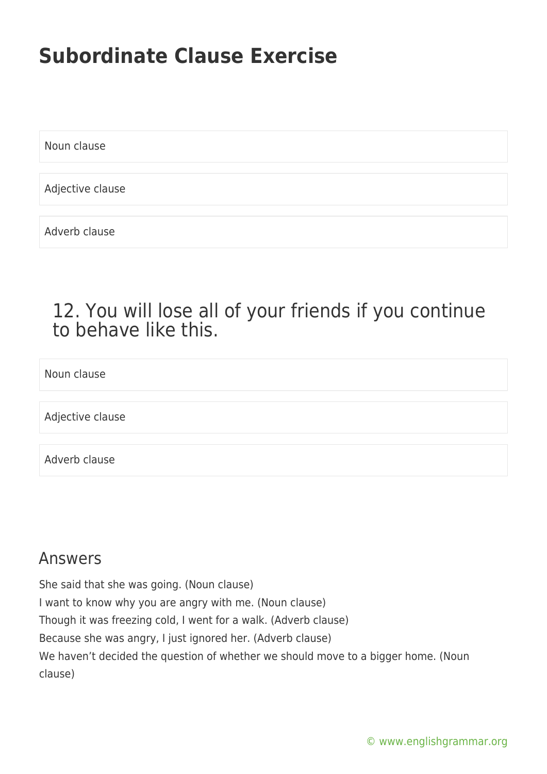Noun clause

Adjective clause

Adverb clause

#### 12. You will lose all of your friends if you continue to behave like this.

Noun clause

Adjective clause

Adverb clause

#### Answers

She said that she was going. (Noun clause) I want to know why you are angry with me. (Noun clause) Though it was freezing cold, I went for a walk. (Adverb clause) Because she was angry, I just ignored her. (Adverb clause) We haven't decided the question of whether we should move to a bigger home. (Noun clause)